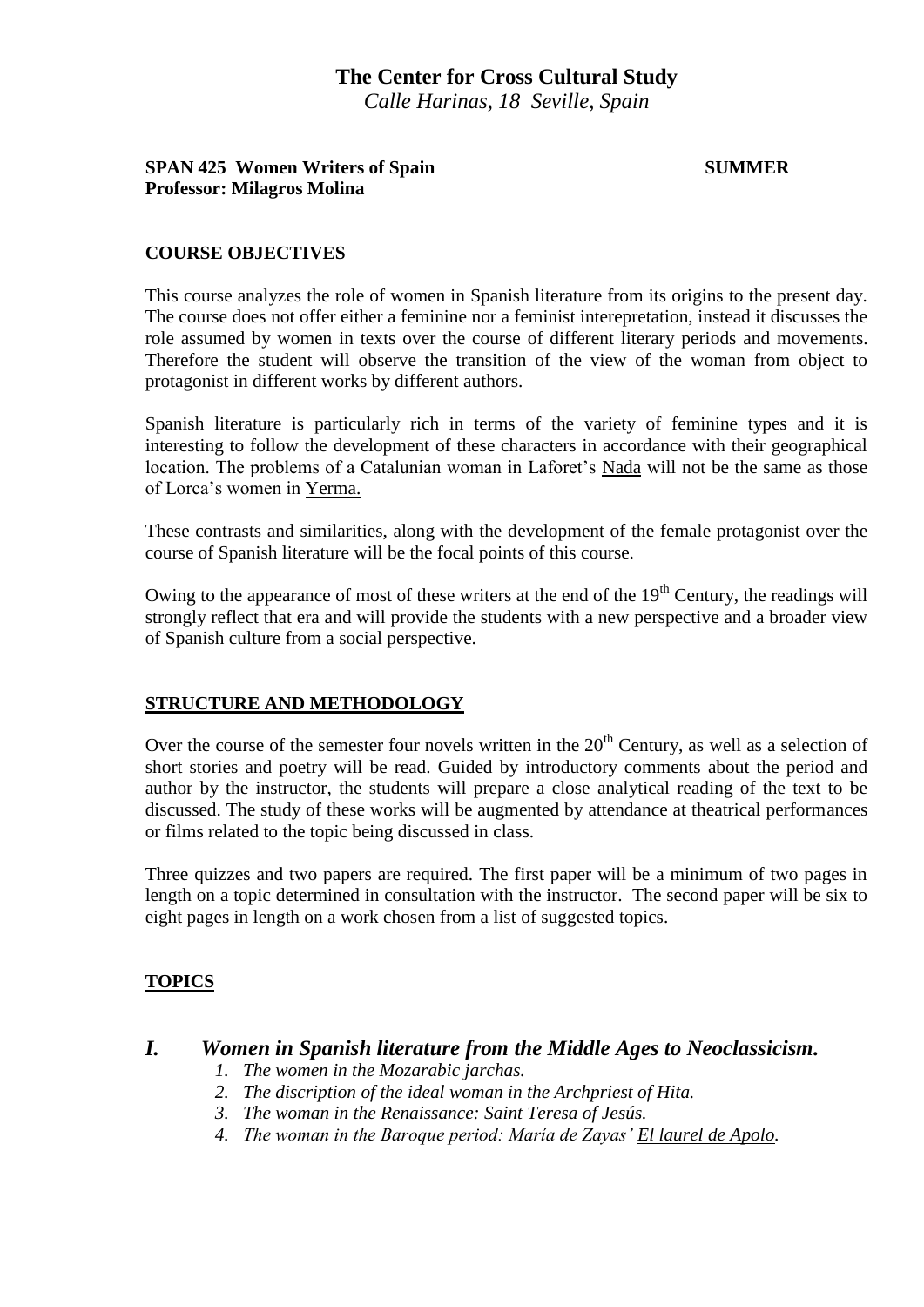## **SPAN 425 Women Writers of Spain SUMMER SUMMER Professor: Milagros Molina**

## **COURSE OBJECTIVES**

This course analyzes the role of women in Spanish literature from its origins to the present day. The course does not offer either a feminine nor a feminist interepretation, instead it discusses the role assumed by women in texts over the course of different literary periods and movements. Therefore the student will observe the transition of the view of the woman from object to protagonist in different works by different authors.

Spanish literature is particularly rich in terms of the variety of feminine types and it is interesting to follow the development of these characters in accordance with their geographical location. The problems of a Catalunian woman in Laforet's Nada will not be the same as those of Lorca's women in Yerma.

These contrasts and similarities, along with the development of the female protagonist over the course of Spanish literature will be the focal points of this course.

Owing to the appearance of most of these writers at the end of the 19<sup>th</sup> Century, the readings will strongly reflect that era and will provide the students with a new perspective and a broader view of Spanish culture from a social perspective.

## **STRUCTURE AND METHODOLOGY**

Over the course of the semester four novels written in the  $20<sup>th</sup>$  Century, as well as a selection of short stories and poetry will be read. Guided by introductory comments about the period and author by the instructor, the students will prepare a close analytical reading of the text to be discussed. The study of these works will be augmented by attendance at theatrical performances or films related to the topic being discussed in class.

Three quizzes and two papers are required. The first paper will be a minimum of two pages in length on a topic determined in consultation with the instructor. The second paper will be six to eight pages in length on a work chosen from a list of suggested topics.

# **TOPICS**

## *I. Women in Spanish literature from the Middle Ages to Neoclassicism.*

- *1. The women in the Mozarabic jarchas.*
- *2. The discription of the ideal woman in the Archpriest of Hita.*
- *3. The woman in the Renaissance: Saint Teresa of Jesús.*
- *4. The woman in the Baroque period: María de Zayas' El laurel de Apolo.*